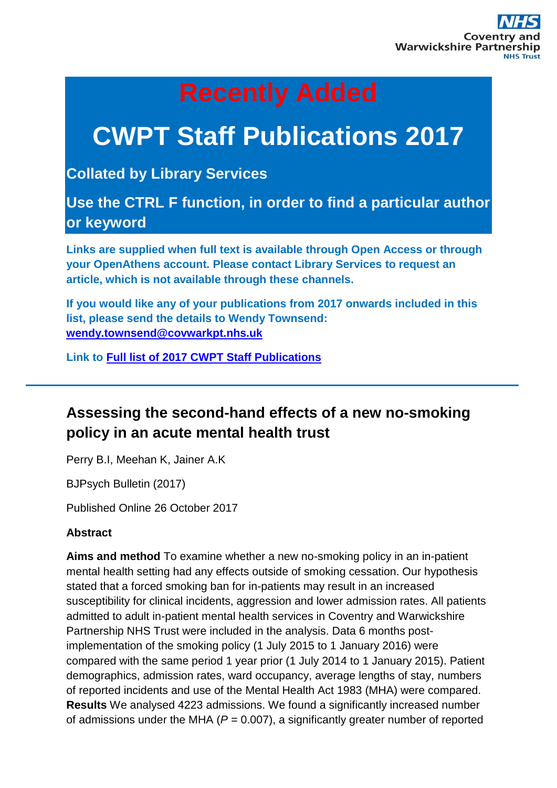# **CWPT Staff Publications 2017**

**Collated by Library Services**

**Use the CTRL F function, in order to find a particular author or keyword**

**Links are supplied when full text is available through Open Access or through your OpenAthens account. Please contact Library Services to request an article, which is not available through these channels.**

**If you would like any of your publications from 2017 onwards included in this list, please send the details to Wendy Townsend: [wendy.townsend@covwarkpt.nhs.uk](file://///cwss.nhs.uk/ndc/NDCdepartments/Library/St%20Michaels%20Library/CWPT%20Publications/wendy.townsend@covwarkpt.nhs.uk)**

**Link to [Full list of 2017 CWPT Staff Publications](https://cwpt.wordpress.ptfs-europe.co.uk/wp-content/uploads/sites/2/2017/08/CWPT-Staff-Publications-list-2017.pdf)**

### **Assessing the second-hand effects of a new no-smoking policy in an acute mental health trust**

Perry B.I, Meehan K, Jainer A.K

BJPsych Bulletin (2017)

Published Online 26 October 2017

### **Abstract**

**Aims and method** To examine whether a new no-smoking policy in an in-patient mental health setting had any effects outside of smoking cessation. Our hypothesis stated that a forced smoking ban for in-patients may result in an increased susceptibility for clinical incidents, aggression and lower admission rates. All patients admitted to adult in-patient mental health services in Coventry and Warwickshire Partnership NHS Trust were included in the analysis. Data 6 months postimplementation of the smoking policy (1 July 2015 to 1 January 2016) were compared with the same period 1 year prior (1 July 2014 to 1 January 2015). Patient demographics, admission rates, ward occupancy, average lengths of stay, numbers of reported incidents and use of the Mental Health Act 1983 (MHA) were compared. **Results** We analysed 4223 admissions. We found a significantly increased number of admissions under the MHA (*P* = 0.007), a significantly greater number of reported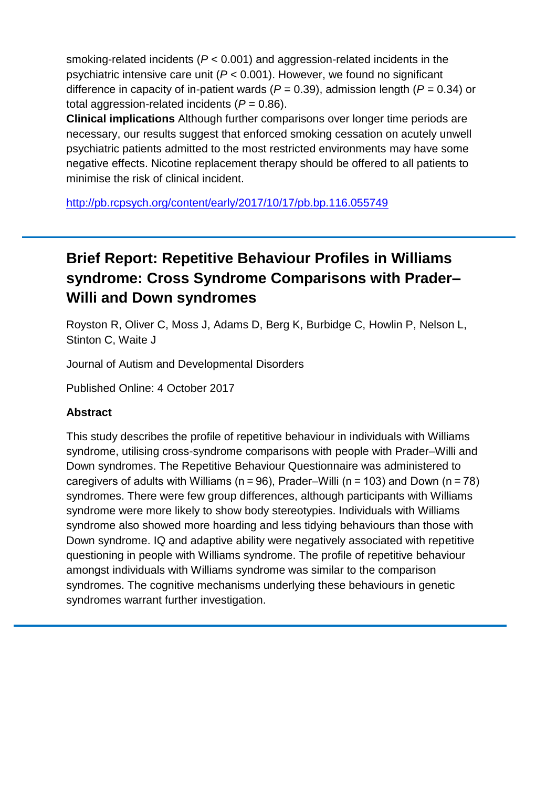smoking-related incidents (*P* < 0.001) and aggression-related incidents in the psychiatric intensive care unit (*P* < 0.001). However, we found no significant difference in capacity of in-patient wards (*P* = 0.39), admission length (*P* = 0.34) or total aggression-related incidents  $(P = 0.86)$ .

**Clinical implications** Although further comparisons over longer time periods are necessary, our results suggest that enforced smoking cessation on acutely unwell psychiatric patients admitted to the most restricted environments may have some negative effects. Nicotine replacement therapy should be offered to all patients to minimise the risk of clinical incident.

<http://pb.rcpsych.org/content/early/2017/10/17/pb.bp.116.055749>

### **Brief Report: Repetitive Behaviour Profiles in Williams syndrome: Cross Syndrome Comparisons with Prader– Willi and Down syndromes**

Royston R, Oliver C, Moss J, Adams D, Berg K, Burbidge C, Howlin P, Nelson L, Stinton C, Waite J

Journal of Autism and Developmental Disorders

Published Online: 4 October 2017

#### **Abstract**

This study describes the profile of repetitive behaviour in individuals with Williams syndrome, utilising cross-syndrome comparisons with people with Prader–Willi and Down syndromes. The Repetitive Behaviour Questionnaire was administered to caregivers of adults with Williams (n = 96), Prader–Willi (n = 103) and Down (n = 78) syndromes. There were few group differences, although participants with Williams syndrome were more likely to show body stereotypies. Individuals with Williams syndrome also showed more hoarding and less tidying behaviours than those with Down syndrome. IQ and adaptive ability were negatively associated with repetitive questioning in people with Williams syndrome. The profile of repetitive behaviour amongst individuals with Williams syndrome was similar to the comparison syndromes. The cognitive mechanisms underlying these behaviours in genetic syndromes warrant further investigation.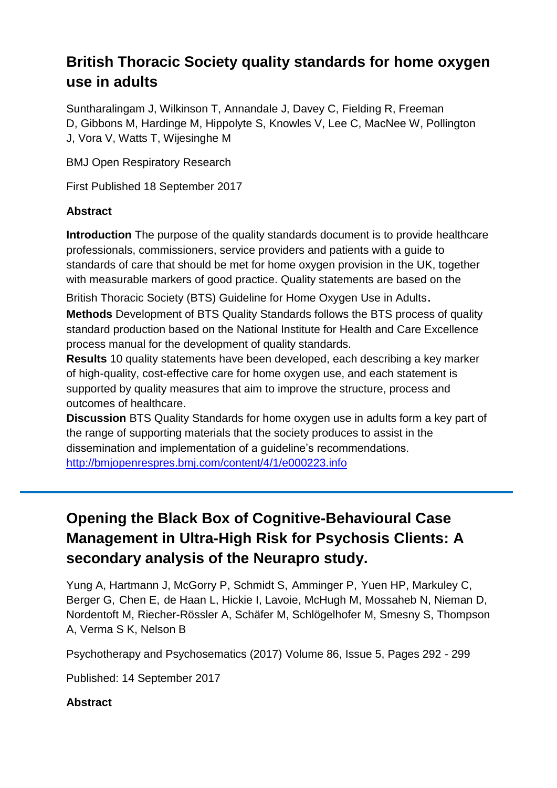### **British Thoracic Society quality standards for home oxygen use in adults**

Suntharalingam J, Wilkinson T, Annandale J, Davey C, Fielding R, Freeman D, Gibbons M, Hardinge M, Hippolyte S, Knowles V, Lee C, MacNee W, Pollington J, Vora V, Watts T, Wijesinghe M

BMJ Open Respiratory Research

First Published 18 September 2017

#### **Abstract**

**Introduction** The purpose of the quality standards document is to provide healthcare professionals, commissioners, service providers and patients with a guide to standards of care that should be met for home oxygen provision in the UK, together with measurable markers of good practice. Quality statements are based on the

British Thoracic Society (BTS) Guideline for Home Oxygen Use in Adults.

**Methods** Development of BTS Quality Standards follows the BTS process of quality standard production based on the National Institute for Health and Care Excellence process manual for the development of quality standards.

**Results** 10 quality statements have been developed, each describing a key marker of high-quality, cost-effective care for home oxygen use, and each statement is supported by quality measures that aim to improve the structure, process and outcomes of healthcare.

**Discussion** BTS Quality Standards for home oxygen use in adults form a key part of the range of supporting materials that the society produces to assist in the dissemination and implementation of a guideline's recommendations. <http://bmjopenrespres.bmj.com/content/4/1/e000223.info>

### **Opening the Black Box of Cognitive-Behavioural Case Management in Ultra-High Risk for Psychosis Clients: A secondary analysis of the Neurapro study.**

[Yung](https://www.research.manchester.ac.uk/portal/alison.yung.html) A, Hartmann J, McGorry P, Schmidt S, Amminger P, Yuen HP, Markuley C, Berger G, Chen E, de Haan L, Hickie I, Lavoie, McHugh M, Mossaheb N, Nieman D, Nordentoft M, Riecher-Rössler A, Schäfer M, Schlögelhofer M, Smesny S, Thompson A, Verma S K, Nelson B

Psychotherapy and Psychosematics (2017) Volume 86, Issue 5, Pages 292 - 299

Published: 14 September 2017

### **Abstract**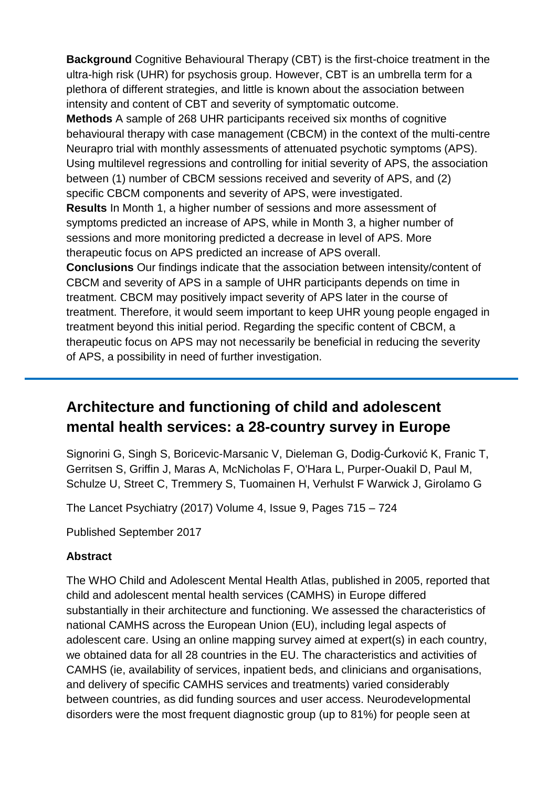**Background** Cognitive Behavioural Therapy (CBT) is the first-choice treatment in the ultra-high risk (UHR) for psychosis group. However, CBT is an umbrella term for a plethora of different strategies, and little is known about the association between intensity and content of CBT and severity of symptomatic outcome.

**Methods** A sample of 268 UHR participants received six months of cognitive behavioural therapy with case management (CBCM) in the context of the multi-centre Neurapro trial with monthly assessments of attenuated psychotic symptoms (APS). Using multilevel regressions and controlling for initial severity of APS, the association between (1) number of CBCM sessions received and severity of APS, and (2) specific CBCM components and severity of APS, were investigated.

**Results** In Month 1, a higher number of sessions and more assessment of symptoms predicted an increase of APS, while in Month 3, a higher number of sessions and more monitoring predicted a decrease in level of APS. More therapeutic focus on APS predicted an increase of APS overall.

**Conclusions** Our findings indicate that the association between intensity/content of CBCM and severity of APS in a sample of UHR participants depends on time in treatment. CBCM may positively impact severity of APS later in the course of treatment. Therefore, it would seem important to keep UHR young people engaged in treatment beyond this initial period. Regarding the specific content of CBCM, a therapeutic focus on APS may not necessarily be beneficial in reducing the severity of APS, a possibility in need of further investigation.

### **Architecture and functioning of child and adolescent mental health services: a 28-country survey in Europe**

Signorini G, Singh S, Boricevic-Marsanic V, Dieleman G, Dodig-Ćurković K, Franic T, Gerritsen S, Griffin J, Maras A, McNicholas F, O'Hara L, Purper-Ouakil D, Paul M, Schulze U, Street C, Tremmery S, Tuomainen H, Verhulst F Warwick J, Girolamo G

The Lancet Psychiatry (2017) Volume 4, Issue 9, Pages 715 – 724

Published September 2017

### **Abstract**

The WHO Child and Adolescent Mental Health Atlas, published in 2005, reported that child and adolescent mental health services (CAMHS) in Europe differed substantially in their architecture and functioning. We assessed the characteristics of national CAMHS across the European Union (EU), including legal aspects of adolescent care. Using an online mapping survey aimed at expert(s) in each country, we obtained data for all 28 countries in the EU. The characteristics and activities of CAMHS (ie, availability of services, inpatient beds, and clinicians and organisations, and delivery of specific CAMHS services and treatments) varied considerably between countries, as did funding sources and user access. Neurodevelopmental disorders were the most frequent diagnostic group (up to 81%) for people seen at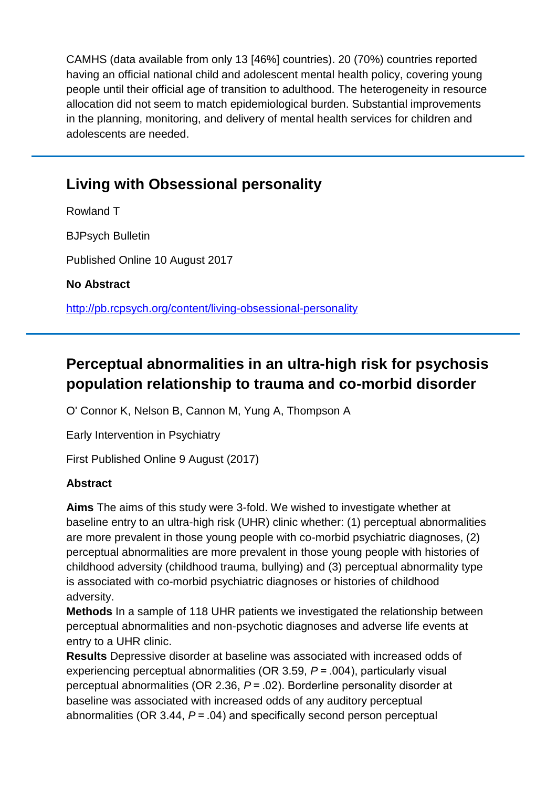CAMHS (data available from only 13 [46%] countries). 20 (70%) countries reported having an official national child and adolescent mental health policy, covering young people until their official age of transition to adulthood. The heterogeneity in resource allocation did not seem to match epidemiological burden. Substantial improvements in the planning, monitoring, and delivery of mental health services for children and adolescents are needed.

### **Living with Obsessional personality**

Rowland T BJPsych Bulletin Published Online 10 August 2017 **No Abstract** <http://pb.rcpsych.org/content/living-obsessional-personality>

## **Perceptual abnormalities in an ultra-high risk for psychosis population relationship to trauma and co-morbid disorder**

O' Connor K, Nelson B, Cannon M, Yung A, Thompson A

Early Intervention in Psychiatry

First Published Online 9 August (2017)

### **Abstract**

**Aims** The aims of this study were 3-fold. We wished to investigate whether at baseline entry to an ultra-high risk (UHR) clinic whether: (1) perceptual abnormalities are more prevalent in those young people with co-morbid psychiatric diagnoses, (2) perceptual abnormalities are more prevalent in those young people with histories of childhood adversity (childhood trauma, bullying) and (3) perceptual abnormality type is associated with co-morbid psychiatric diagnoses or histories of childhood adversity.

**Methods** In a sample of 118 UHR patients we investigated the relationship between perceptual abnormalities and non-psychotic diagnoses and adverse life events at entry to a UHR clinic.

**Results** Depressive disorder at baseline was associated with increased odds of experiencing perceptual abnormalities (OR 3.59, *P* = .004), particularly visual perceptual abnormalities (OR 2.36, *P* = .02). Borderline personality disorder at baseline was associated with increased odds of any auditory perceptual abnormalities (OR 3.44, *P* = .04) and specifically second person perceptual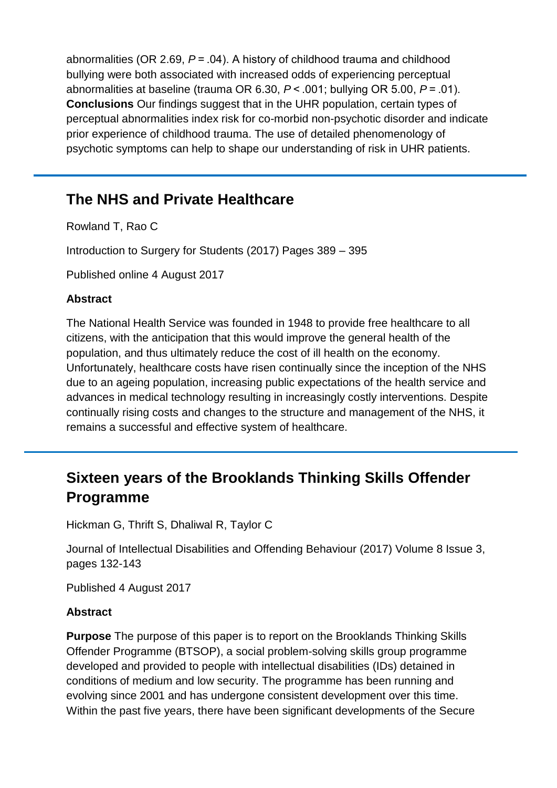abnormalities (OR 2.69, *P* = .04). A history of childhood trauma and childhood bullying were both associated with increased odds of experiencing perceptual abnormalities at baseline (trauma OR 6.30, *P* < .001; bullying OR 5.00, *P* = .01). **Conclusions** Our findings suggest that in the UHR population, certain types of perceptual abnormalities index risk for co-morbid non-psychotic disorder and indicate prior experience of childhood trauma. The use of detailed phenomenology of psychotic symptoms can help to shape our understanding of risk in UHR patients.

### **The NHS and Private Healthcare**

Rowland T, Rao C

Introduction to Surgery for Students (2017) Pages 389 – 395

Published online 4 August 2017

#### **Abstract**

The National Health Service was founded in 1948 to provide free healthcare to all citizens, with the anticipation that this would improve the general health of the population, and thus ultimately reduce the cost of ill health on the economy. Unfortunately, healthcare costs have risen continually since the inception of the NHS due to an ageing population, increasing public expectations of the health service and advances in medical technology resulting in increasingly costly interventions. Despite continually rising costs and changes to the structure and management of the NHS, it remains a successful and effective system of healthcare.

### **Sixteen years of the Brooklands Thinking Skills Offender Programme**

Hickman G, Thrift S, Dhaliwal R, Taylor C

Journal of Intellectual Disabilities and Offending Behaviour (2017) Volume 8 Issue 3, pages 132-143

Published 4 August 2017

#### **Abstract**

**Purpose** The purpose of this paper is to report on the Brooklands Thinking Skills Offender Programme (BTSOP), a social problem-solving skills group programme developed and provided to people with intellectual disabilities (IDs) detained in conditions of medium and low security. The programme has been running and evolving since 2001 and has undergone consistent development over this time. Within the past five years, there have been significant developments of the Secure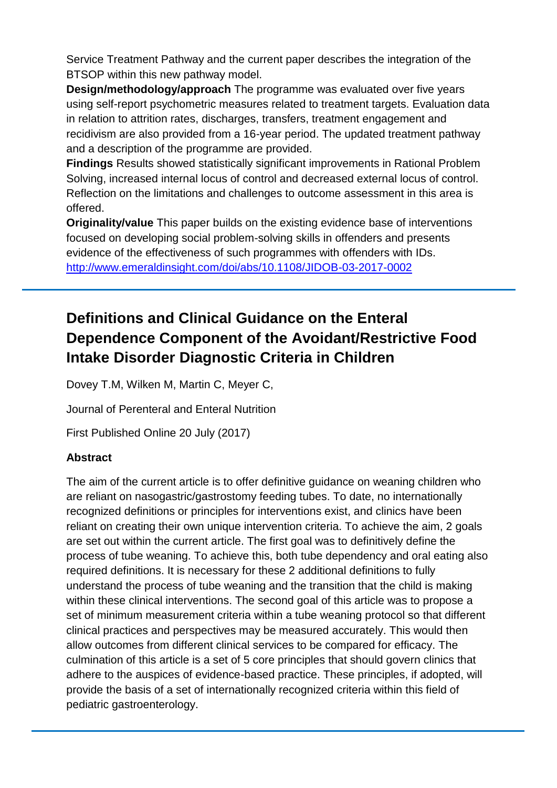Service Treatment Pathway and the current paper describes the integration of the BTSOP within this new pathway model.

**Design/methodology/approach** The programme was evaluated over five years using self-report psychometric measures related to treatment targets. Evaluation data in relation to attrition rates, discharges, transfers, treatment engagement and recidivism are also provided from a 16-year period. The updated treatment pathway and a description of the programme are provided.

**Findings** Results showed statistically significant improvements in Rational Problem Solving, increased internal locus of control and decreased external locus of control. Reflection on the limitations and challenges to outcome assessment in this area is offered.

**Originality/value** This paper builds on the existing evidence base of interventions focused on developing social problem-solving skills in offenders and presents evidence of the effectiveness of such programmes with offenders with IDs. <http://www.emeraldinsight.com/doi/abs/10.1108/JIDOB-03-2017-0002>

## **Definitions and Clinical Guidance on the Enteral Dependence Component of the Avoidant/Restrictive Food Intake Disorder Diagnostic Criteria in Children**

Dovey T.M, Wilken M, Martin C, Meyer C,

Journal of Perenteral and Enteral Nutrition

First Published Online 20 July (2017)

#### **Abstract**

The aim of the current article is to offer definitive guidance on weaning children who are reliant on nasogastric/gastrostomy feeding tubes. To date, no internationally recognized definitions or principles for interventions exist, and clinics have been reliant on creating their own unique intervention criteria. To achieve the aim, 2 goals are set out within the current article. The first goal was to definitively define the process of tube weaning. To achieve this, both tube dependency and oral eating also required definitions. It is necessary for these 2 additional definitions to fully understand the process of tube weaning and the transition that the child is making within these clinical interventions. The second goal of this article was to propose a set of minimum measurement criteria within a tube weaning protocol so that different clinical practices and perspectives may be measured accurately. This would then allow outcomes from different clinical services to be compared for efficacy. The culmination of this article is a set of 5 core principles that should govern clinics that adhere to the auspices of evidence-based practice. These principles, if adopted, will provide the basis of a set of internationally recognized criteria within this field of pediatric gastroenterology.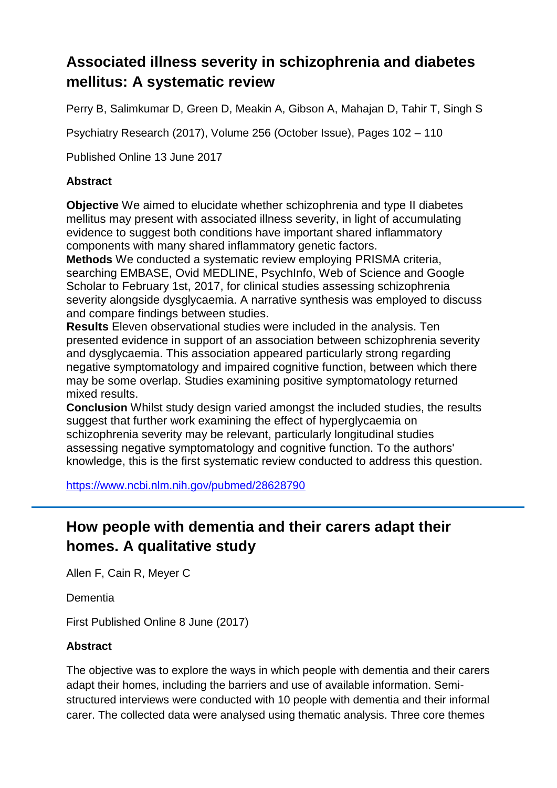### **Associated illness severity in schizophrenia and diabetes mellitus: A systematic review**

Perry B, Salimkumar D, Green D, Meakin A, Gibson A, Mahajan D, Tahir T, Singh S

Psychiatry Research (2017), Volume 256 (October Issue), Pages 102 – 110

Published Online 13 June 2017

#### **Abstract**

**Objective** We aimed to elucidate whether schizophrenia and type II diabetes mellitus may present with associated illness severity, in light of accumulating evidence to suggest both conditions have important shared inflammatory components with many shared inflammatory genetic factors.

**Methods** We conducted a systematic review employing PRISMA criteria, searching EMBASE, Ovid MEDLINE, PsychInfo, Web of Science and Google Scholar to February 1st, 2017, for clinical studies assessing schizophrenia severity alongside dysglycaemia. A narrative synthesis was employed to discuss and compare findings between studies.

**Results** Eleven observational studies were included in the analysis. Ten presented evidence in support of an association between schizophrenia severity and dysglycaemia. This association appeared particularly strong regarding negative symptomatology and impaired cognitive function, between which there may be some overlap. Studies examining positive symptomatology returned mixed results.

**Conclusion** Whilst study design varied amongst the included studies, the results suggest that further work examining the effect of hyperglycaemia on schizophrenia severity may be relevant, particularly longitudinal studies assessing negative symptomatology and cognitive function. To the authors' knowledge, this is the first systematic review conducted to address this question.

<https://www.ncbi.nlm.nih.gov/pubmed/28628790>

### **How people with dementia and their carers adapt their homes. A qualitative study**

Allen F, Cain R, Meyer C

Dementia

First Published Online 8 June (2017)

#### **Abstract**

The objective was to explore the ways in which people with dementia and their carers adapt their homes, including the barriers and use of available information. Semistructured interviews were conducted with 10 people with dementia and their informal carer. The collected data were analysed using thematic analysis. Three core themes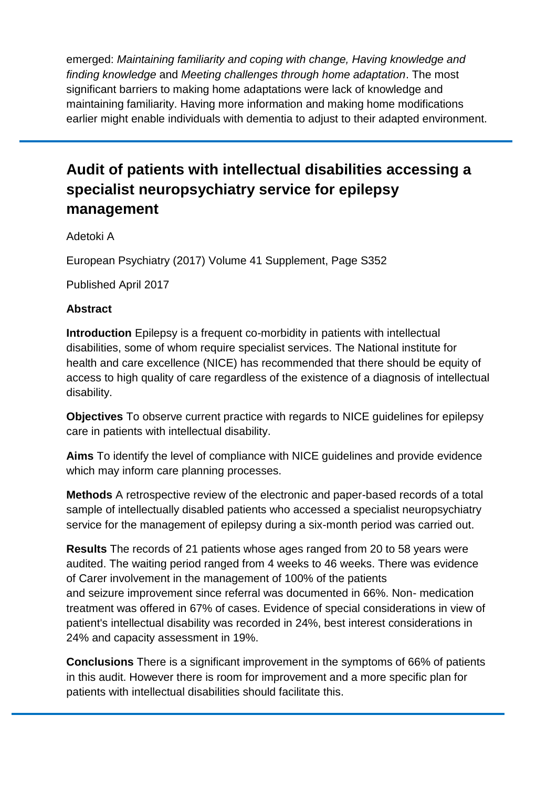emerged: *Maintaining familiarity and coping with change, Having knowledge and finding knowledge* and *Meeting challenges through home adaptation*. The most significant barriers to making home adaptations were lack of knowledge and maintaining familiarity. Having more information and making home modifications earlier might enable individuals with dementia to adjust to their adapted environment.

### **Audit of patients with intellectual disabilities accessing a specialist neuropsychiatry service for epilepsy management**

#### Adetoki A

European Psychiatry (2017) Volume 41 Supplement, Page S352

Published April 2017

#### **Abstract**

**Introduction** Epilepsy is a frequent co-morbidity in patients with intellectual disabilities, some of whom require specialist services. The National institute for health and care excellence (NICE) has recommended that there should be equity of access to high quality of care regardless of the existence of a diagnosis of intellectual disability.

**Objectives** To observe current practice with regards to NICE guidelines for epilepsy care in patients with intellectual disability.

**Aims** To identify the level of compliance with NICE guidelines and provide evidence which may inform care planning processes.

**Methods** A retrospective review of the electronic and paper-based records of a total sample of intellectually disabled patients who accessed a specialist neuropsychiatry service for the management of epilepsy during a six-month period was carried out.

**Results** The records of 21 patients whose ages ranged from 20 to 58 years were audited. The waiting period ranged from 4 weeks to 46 weeks. There was evidence of Carer involvement in the management of 100% of the patients and seizure improvement since referral was documented in 66%. Non- medication treatment was offered in 67% of cases. Evidence of special considerations in view of patient's intellectual disability was recorded in 24%, best interest considerations in 24% and capacity assessment in 19%.

**Conclusions** There is a significant improvement in the symptoms of 66% of patients in this audit. However there is room for improvement and a more specific plan for patients with intellectual disabilities should facilitate this.